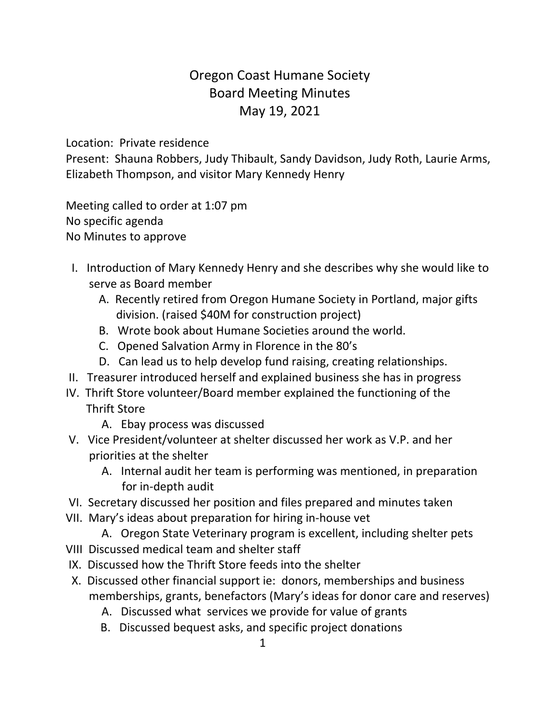## Oregon Coast Humane Society Board Meeting Minutes May 19, 2021

Location: Private residence

Present: Shauna Robbers, Judy Thibault, Sandy Davidson, Judy Roth, Laurie Arms, Elizabeth Thompson, and visitor Mary Kennedy Henry

Meeting called to order at 1:07 pm No specific agenda No Minutes to approve

- I. Introduction of Mary Kennedy Henry and she describes why she would like to serve as Board member
	- A. Recently retired from Oregon Humane Society in Portland, major gifts division. (raised \$40M for construction project)
	- B. Wrote book about Humane Societies around the world.
	- C. Opened Salvation Army in Florence in the 80's
	- D. Can lead us to help develop fund raising, creating relationships.
- II. Treasurer introduced herself and explained business she has in progress
- IV. Thrift Store volunteer/Board member explained the functioning of the Thrift Store
	- A. Ebay process was discussed
- V. Vice President/volunteer at shelter discussed her work as V.P. and her priorities at the shelter
	- A. Internal audit her team is performing was mentioned, in preparation for in-depth audit
- VI. Secretary discussed her position and files prepared and minutes taken
- VII. Mary's ideas about preparation for hiring in-house vet
	- A. Oregon State Veterinary program is excellent, including shelter pets
- VIII Discussed medical team and shelter staff
- IX. Discussed how the Thrift Store feeds into the shelter
- X. Discussed other financial support ie: donors, memberships and business memberships, grants, benefactors (Mary's ideas for donor care and reserves)
	- A. Discussed what services we provide for value of grants
	- B. Discussed bequest asks, and specific project donations